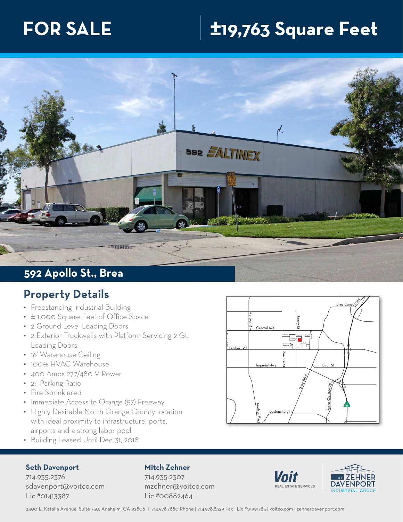# **FOR SALE ±19,763 Square Feet**



## **Property Details**

- Freestanding Industrial Building
- $\pm$  1,000 Square Feet of Office Space
- 2 Ground Level Loading Doors
- $\bullet$  2 Exterior Truckwells with Platform Servicing 2 GL Loading Doors
- 16' Warehouse Ceiling
- 100% HVAC Warehouse
- 400 Amps 277/480 V Power
- 2:1 Parking Ratio
- Fire Sprinklered
- Immediate Access to Orange (57) Freeway
- Highly Desirable North Orange County location with ideal proximity to infrastructure, ports, airports and a strong labor pool
- Building Leased Until Dec 31, 2018

#### Imperial H Lambert Rd Habor Blvd Brea Canyo New York Press, Canyo New York Press, Canyo New York Press, 2007 Birch St State College Blvd  $\overline{E}$ St Bastenchury R**¢** Berry n Central Ave the S Puente St Harbor Blyb Columbia St Challenger St Beacon St Apollo St Tamarack Ave Explorer St Atlas St

### **Seth Davenport**

714.935.2376 sdavenport@voitco.com Lic.#01413387

## **Mitch Zehner**

714.935.2307 mzehner@voitco.com Lic.#00882464





2400 E. Katella Avenue, Suite 750, Anaheim, CA 92806 | 714.978.7880 Phone | 714.978.8329 Fax | Lic #01991785 | voitco.com | zehnerdavenport.com